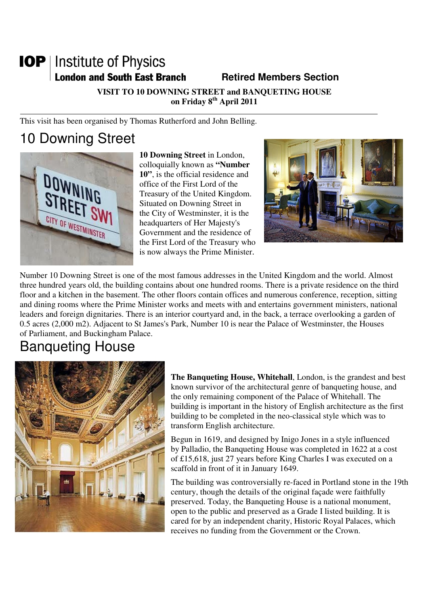# **IOP** | Institute of Physics **London and South East Branch Fig. 2.1 Retired Members Section**

**VISIT TO 10 DOWNING STREET and BANQUETING HOUSE on Friday 8th April 2011** 

This visit has been organised by Thomas Rutherford and John Belling.

# 10 Downing Street



**10 Downing Street** in London, colloquially known as **"Number 10"**, is the official residence and office of the First Lord of the Treasury of the United Kingdom. Situated on Downing Street in the City of Westminster, it is the headquarters of Her Majesty's Government and the residence of the First Lord of the Treasury who is now always the Prime Minister.



Number 10 Downing Street is one of the most famous addresses in the United Kingdom and the world. Almost three hundred years old, the building contains about one hundred rooms. There is a private residence on the third floor and a kitchen in the basement. The other floors contain offices and numerous conference, reception, sitting and dining rooms where the Prime Minister works and meets with and entertains government ministers, national leaders and foreign dignitaries. There is an interior courtyard and, in the back, a terrace overlooking a garden of 0.5 acres (2,000 m2). Adjacent to St James's Park, Number 10 is near the Palace of Westminster, the Houses of Parliament, and Buckingham Palace.

# Banqueting House



**The Banqueting House, Whitehall**, London, is the grandest and best known survivor of the architectural genre of banqueting house, and the only remaining component of the Palace of Whitehall. The building is important in the history of English architecture as the first building to be completed in the neo-classical style which was to transform English architecture.

Begun in 1619, and designed by Inigo Jones in a style influenced by Palladio, the Banqueting House was completed in 1622 at a cost of £15,618, just 27 years before King Charles I was executed on a scaffold in front of it in January 1649.

The building was controversially re-faced in Portland stone in the 19th century, though the details of the original façade were faithfully preserved. Today, the Banqueting House is a national monument, open to the public and preserved as a Grade I listed building. It is cared for by an independent charity, Historic Royal Palaces, which receives no funding from the Government or the Crown.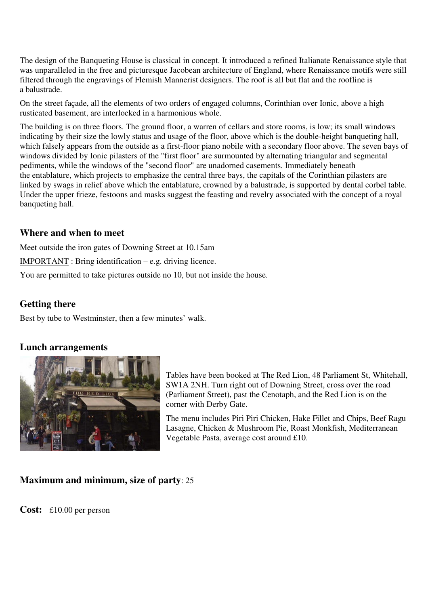The design of the Banqueting House is classical in concept. It introduced a refined Italianate Renaissance style that was unparalleled in the free and picturesque Jacobean architecture of England, where Renaissance motifs were still filtered through the engravings of Flemish Mannerist designers. The roof is all but flat and the roofline is a balustrade.

On the street façade, all the elements of two orders of engaged columns, Corinthian over Ionic, above a high rusticated basement, are interlocked in a harmonious whole.

The building is on three floors. The ground floor, a warren of cellars and store rooms, is low; its small windows indicating by their size the lowly status and usage of the floor, above which is the double-height banqueting hall, which falsely appears from the outside as a first-floor piano nobile with a secondary floor above. The seven bays of windows divided by Ionic pilasters of the "first floor" are surmounted by alternating triangular and segmental pediments, while the windows of the "second floor" are unadorned casements. Immediately beneath the entablature, which projects to emphasize the central three bays, the capitals of the Corinthian pilasters are linked by swags in relief above which the entablature, crowned by a balustrade, is supported by dental corbel table. Under the upper frieze, festoons and masks suggest the feasting and revelry associated with the concept of a royal banqueting hall.

#### **Where and when to meet**

Meet outside the iron gates of Downing Street at 10.15am

IMPORTANT : Bring identification – e.g. driving licence.

You are permitted to take pictures outside no 10, but not inside the house.

#### **Getting there**

Best by tube to Westminster, then a few minutes' walk.

#### **Lunch arrangements**



Tables have been booked at The Red Lion, 48 Parliament St, Whitehall, SW1A 2NH. Turn right out of Downing Street, cross over the road (Parliament Street), past the Cenotaph, and the Red Lion is on the corner with Derby Gate.

The menu includes Piri Piri Chicken, Hake Fillet and Chips, Beef Ragu Lasagne, Chicken & Mushroom Pie, Roast Monkfish, Mediterranean Vegetable Pasta, average cost around £10.

#### **Maximum and minimum, size of party**: 25

**Cost:** £10.00 per person